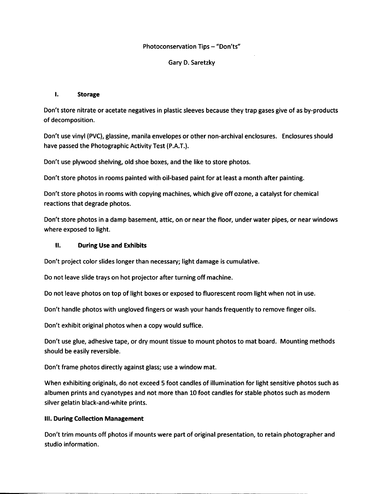## Photoconservation Tips - "Don'ts"

# Gary D. Saretzky

# I. **Storage**

Don't store nitrate or acetate negatives in plastic sleeves because they trap gases give of as by-products of decomposition.

Don't use vinyl (PVC), glassine, manila envelopes or other non-archival enclosures. Enclosures should have passed the Photographic Activity Test (P.A.T.).

Don't use plywood shelving, old shoe boxes, and the like to store photos.

Don't store photos in rooms painted with oil-based paint for at least a month after painting.

Don't store photos in rooms with copying machines, which give off ozone, a catalyst for chemical reactions that degrade photos.

Don't store photos in a damp basement, attic, on or near the floor, under water pipes, or near windows where exposed to light.

# II. **During Use and Exhibits**

Don't project color slides longer than necessary; light damage is cumulative.

Do not leave slide trays on hot projector after turning off machine.

Do not leave photos on top of light boxes or exposed to fluorescent room light when not in use.

Don't handle photos with ungloved fingers or wash your hands frequently to remove finger oils.

Don't exhibit original photos when a copy would suffice.

Don't use glue, adhesive tape, or dry mount tissue to mount photos to mat board. Mounting methods should be easily reversible.

Don't frame photos directly against glass; use a window mat.

When exhibiting originals, do not exceed 5 foot candles of illumination for light sensitive photos such as albumen prints and cyanotypes and not more than 10 foot candles for stable photos such as modern silver gelatin black-and-white prints.

## Ill. **During Collection Management**

Don't trim mounts off photos if mounts were part of original presentation, to retain photographer and studio information.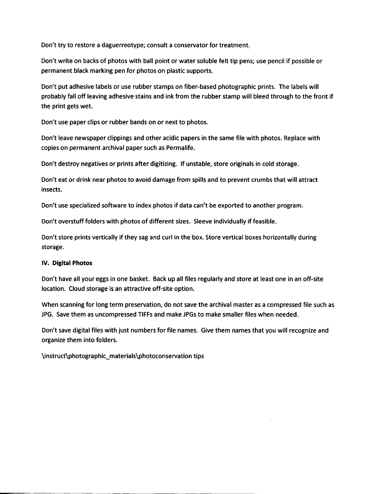Don't try to restore a daguerreotype; consult a conservator for treatment.

Don't write on backs of photos with ball point or water soluble felt tip pens; use pencil if possible or permanent black marking pen for photos on plastic supports.

Don't put adhesive labels or use rubber stamps on fiber-based photographic prints. The labels will probably fall off leaving adhesive stains and ink from the rubber stamp will bleed through to the front if the print gets wet.

Don't use paper clips or rubber bands on or next to photos.

Don't leave newspaper clippings and other acidic papers in the same file with photos. Replace with copies on permanent archival paper such as Permalife.

Don't destroy negatives or prints after digitizing. If unstable, store originals in cold storage.

Don't eat or drink near photos to avoid damage from spills and to prevent crumbs that will attract insects.

Don't use specialized software to index photos if data can't be exported to another program.

Don't overstuff folders with photos of different sizes. Sleeve individually if feasible.

Don't store prints vertically if they sag and curl in the box. Store vertical boxes horizontally during storage.

### **IV. Digital Photos**

Don't have all your eggs in one basket. Back up all files regularly and store at least one in an off-site location. Cloud storage is an attractive off-site option.

When scanning for long term preservation, do not save the archival master as a compressed file such as JPG. Save them as uncompressed TIFFs and make JPGs to make smaller files when needed.

Don't save digital files with just numbers for file names. Give them names that you will recognize and organize them into folders.

\instruct\photographic\_materials\photoconservation tips